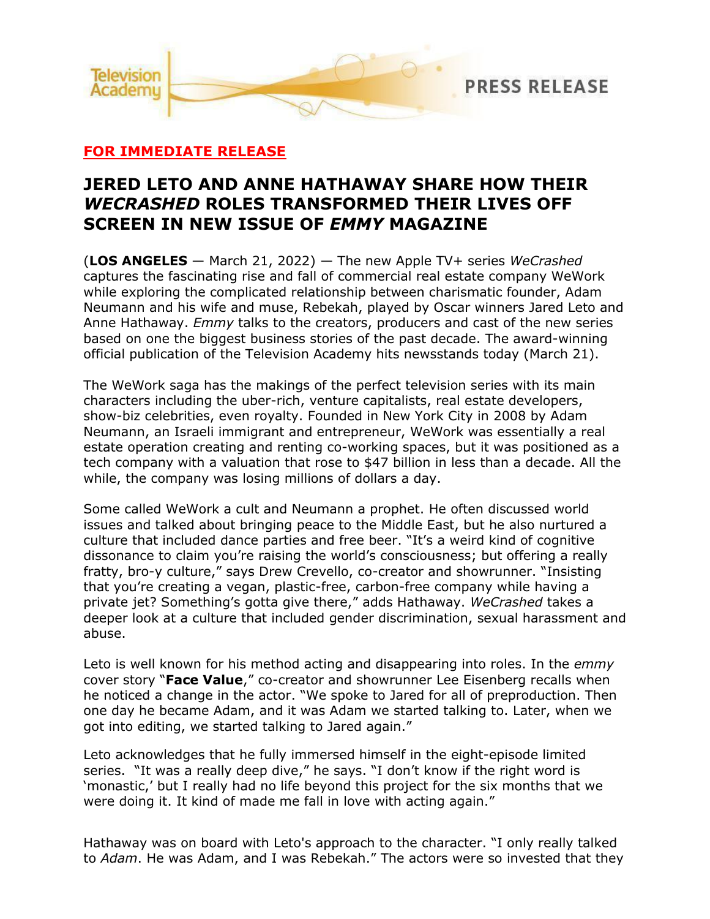

## **FOR IMMEDIATE RELEASE**

# **JERED LETO AND ANNE HATHAWAY SHARE HOW THEIR**  *WECRASHED* **ROLES TRANSFORMED THEIR LIVES OFF SCREEN IN NEW ISSUE OF** *EMMY* **MAGAZINE**

(**LOS ANGELES** — March 21, 2022) — The new Apple TV+ series *WeCrashed* captures the fascinating rise and fall of commercial real estate company WeWork while exploring the complicated relationship between charismatic founder, Adam Neumann and his wife and muse, Rebekah, played by Oscar winners Jared Leto and Anne Hathaway. *Emmy* talks to the creators, producers and cast of the new series based on one the biggest business stories of the past decade. The award-winning official publication of the Television Academy hits newsstands today (March 21).

The WeWork saga has the makings of the perfect television series with its main characters including the uber-rich, venture capitalists, real estate developers, show-biz celebrities, even royalty. Founded in New York City in 2008 by Adam Neumann, an Israeli immigrant and entrepreneur, WeWork was essentially a real estate operation creating and renting co-working spaces, but it was positioned as a tech company with a valuation that rose to \$47 billion in less than a decade. All the while, the company was losing millions of dollars a day.

Some called WeWork a cult and Neumann a prophet. He often discussed world issues and talked about bringing peace to the Middle East, but he also nurtured a culture that included dance parties and free beer. "It's a weird kind of cognitive dissonance to claim you're raising the world's consciousness; but offering a really fratty, bro-y culture," says Drew Crevello, co-creator and showrunner. "Insisting that you're creating a vegan, plastic-free, carbon-free company while having a private jet? Something's gotta give there," adds Hathaway. *WeCrashed* takes a deeper look at a culture that included gender discrimination, sexual harassment and abuse.

Leto is well known for his method acting and disappearing into roles. In the *emmy* cover story "**Face Value**," co-creator and showrunner Lee Eisenberg recalls when he noticed a change in the actor. "We spoke to Jared for all of preproduction. Then one day he became Adam, and it was Adam we started talking to. Later, when we got into editing, we started talking to Jared again."

Leto acknowledges that he fully immersed himself in the eight-episode limited series. "It was a really deep dive," he says. "I don't know if the right word is 'monastic,' but I really had no life beyond this project for the six months that we were doing it. It kind of made me fall in love with acting again."

Hathaway was on board with Leto's approach to the character. "I only really talked to *Adam*. He was Adam, and I was Rebekah." The actors were so invested that they